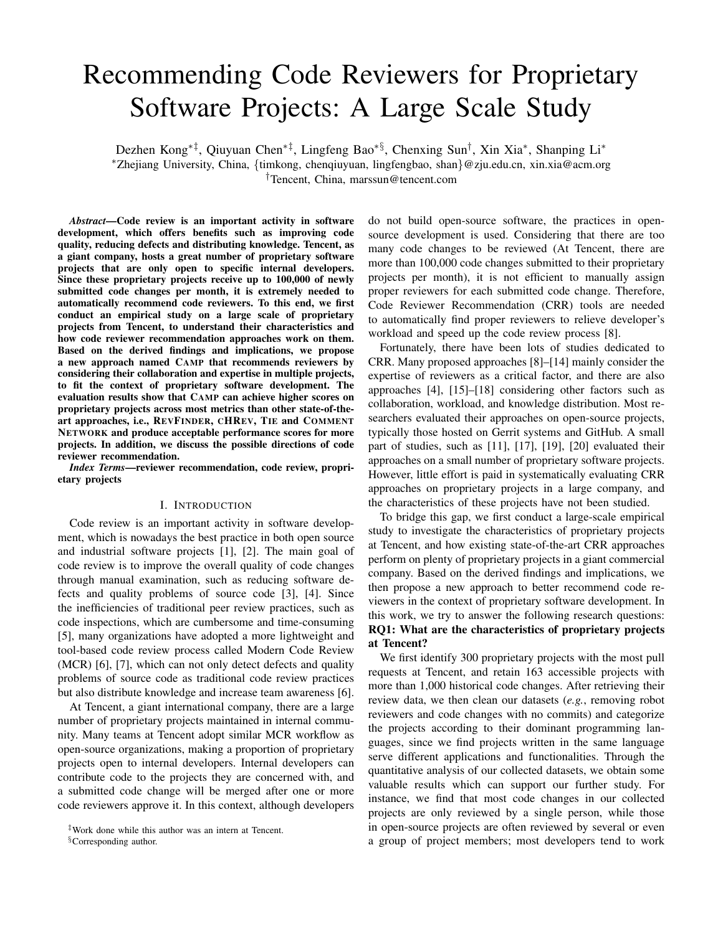# Recommending Code Reviewers for Proprietary Software Projects: A Large Scale Study

Dezhen Kong∗‡, Qiuyuan Chen∗‡, Lingfeng Bao∗§, Chenxing Sun† , Xin Xia<sup>∗</sup> , Shanping Li<sup>∗</sup> <sup>∗</sup>Zhejiang University, China, {timkong, chenqiuyuan, lingfengbao, shan}@zju.edu.cn, xin.xia@acm.org †Tencent, China, marssun@tencent.com

*Abstract*—Code review is an important activity in software development, which offers benefits such as improving code quality, reducing defects and distributing knowledge. Tencent, as a giant company, hosts a great number of proprietary software projects that are only open to specific internal developers. Since these proprietary projects receive up to 100,000 of newly submitted code changes per month, it is extremely needed to automatically recommend code reviewers. To this end, we first conduct an empirical study on a large scale of proprietary projects from Tencent, to understand their characteristics and how code reviewer recommendation approaches work on them. Based on the derived findings and implications, we propose a new approach named CAMP that recommends reviewers by considering their collaboration and expertise in multiple projects, to fit the context of proprietary software development. The evaluation results show that CAMP can achieve higher scores on proprietary projects across most metrics than other state-of-theart approaches, i.e., REVFINDER, CHREV, TIE and COMMENT NETWORK and produce acceptable performance scores for more projects. In addition, we discuss the possible directions of code reviewer recommendation.

*Index Terms*—reviewer recommendation, code review, proprietary projects

## I. INTRODUCTION

Code review is an important activity in software development, which is nowadays the best practice in both open source and industrial software projects [\[1\]](#page-9-0), [\[2\]](#page-9-1). The main goal of code review is to improve the overall quality of code changes through manual examination, such as reducing software defects and quality problems of source code [\[3\]](#page-10-0), [\[4\]](#page-10-1). Since the inefficiencies of traditional peer review practices, such as code inspections, which are cumbersome and time-consuming [\[5\]](#page-10-2), many organizations have adopted a more lightweight and tool-based code review process called Modern Code Review (MCR) [\[6\]](#page-10-3), [\[7\]](#page-10-4), which can not only detect defects and quality problems of source code as traditional code review practices but also distribute knowledge and increase team awareness [\[6\]](#page-10-3).

At Tencent, a giant international company, there are a large number of proprietary projects maintained in internal community. Many teams at Tencent adopt similar MCR workflow as open-source organizations, making a proportion of proprietary projects open to internal developers. Internal developers can contribute code to the projects they are concerned with, and a submitted code change will be merged after one or more code reviewers approve it. In this context, although developers

§Corresponding author.

do not build open-source software, the practices in opensource development is used. Considering that there are too many code changes to be reviewed (At Tencent, there are more than 100,000 code changes submitted to their proprietary projects per month), it is not efficient to manually assign proper reviewers for each submitted code change. Therefore, Code Reviewer Recommendation (CRR) tools are needed to automatically find proper reviewers to relieve developer's workload and speed up the code review process [\[8\]](#page-10-5).

Fortunately, there have been lots of studies dedicated to CRR. Many proposed approaches [\[8\]](#page-10-5)–[\[14\]](#page-10-6) mainly consider the expertise of reviewers as a critical factor, and there are also approaches [\[4\]](#page-10-1), [\[15\]](#page-10-7)–[\[18\]](#page-10-8) considering other factors such as collaboration, workload, and knowledge distribution. Most researchers evaluated their approaches on open-source projects, typically those hosted on Gerrit systems and GitHub. A small part of studies, such as [\[11\]](#page-10-9), [\[17\]](#page-10-10), [\[19\]](#page-10-11), [\[20\]](#page-10-12) evaluated their approaches on a small number of proprietary software projects. However, little effort is paid in systematically evaluating CRR approaches on proprietary projects in a large company, and the characteristics of these projects have not been studied.

To bridge this gap, we first conduct a large-scale empirical study to investigate the characteristics of proprietary projects at Tencent, and how existing state-of-the-art CRR approaches perform on plenty of proprietary projects in a giant commercial company. Based on the derived findings and implications, we then propose a new approach to better recommend code reviewers in the context of proprietary software development. In this work, we try to answer the following research questions: RQ1: What are the characteristics of proprietary projects at Tencent?

We first identify 300 proprietary projects with the most pull requests at Tencent, and retain 163 accessible projects with more than 1,000 historical code changes. After retrieving their review data, we then clean our datasets (*e.g.*, removing robot reviewers and code changes with no commits) and categorize the projects according to their dominant programming languages, since we find projects written in the same language serve different applications and functionalities. Through the quantitative analysis of our collected datasets, we obtain some valuable results which can support our further study. For instance, we find that most code changes in our collected projects are only reviewed by a single person, while those in open-source projects are often reviewed by several or even a group of project members; most developers tend to work

<sup>‡</sup>Work done while this author was an intern at Tencent.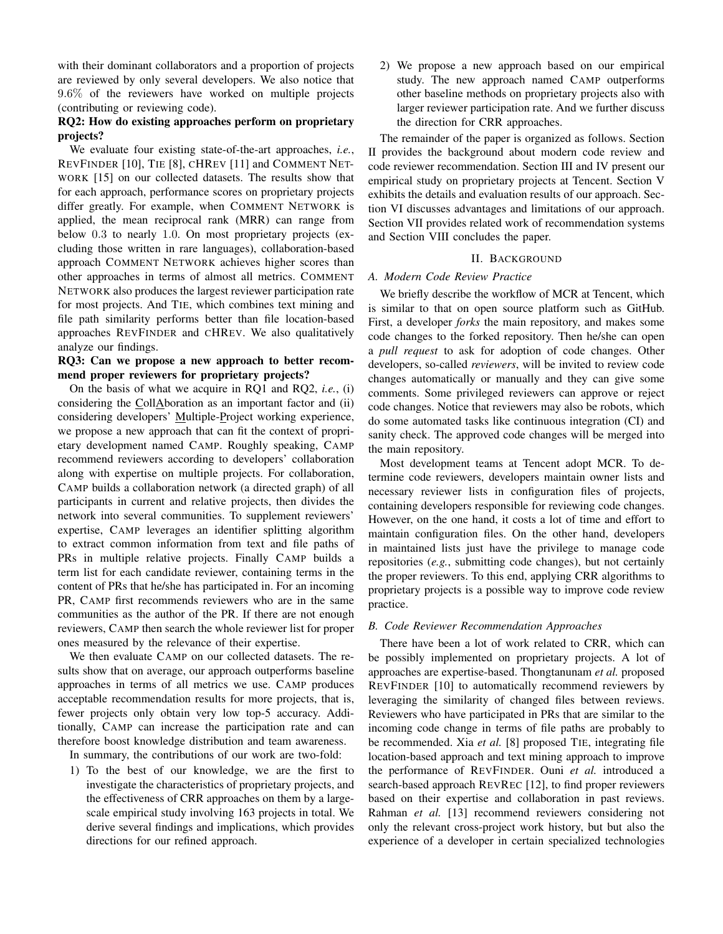with their dominant collaborators and a proportion of projects are reviewed by only several developers. We also notice that 9.6% of the reviewers have worked on multiple projects (contributing or reviewing code).

# RQ2: How do existing approaches perform on proprietary projects?

We evaluate four existing state-of-the-art approaches, *i.e.*, REVFINDER [\[10\]](#page-10-13), TIE [\[8\]](#page-10-5), CHREV [\[11\]](#page-10-9) and COMMENT NET-WORK [\[15\]](#page-10-7) on our collected datasets. The results show that for each approach, performance scores on proprietary projects differ greatly. For example, when COMMENT NETWORK is applied, the mean reciprocal rank (MRR) can range from below 0.3 to nearly 1.0. On most proprietary projects (excluding those written in rare languages), collaboration-based approach COMMENT NETWORK achieves higher scores than other approaches in terms of almost all metrics. COMMENT NETWORK also produces the largest reviewer participation rate for most projects. And TIE, which combines text mining and file path similarity performs better than file location-based approaches REVFINDER and CHREV. We also qualitatively analyze our findings.

# RQ3: Can we propose a new approach to better recommend proper reviewers for proprietary projects?

On the basis of what we acquire in RQ1 and RQ2, *i.e.*, (i) considering the CollAboration as an important factor and (ii) considering developers' Multiple-Project working experience, we propose a new approach that can fit the context of proprietary development named CAMP. Roughly speaking, CAMP recommend reviewers according to developers' collaboration along with expertise on multiple projects. For collaboration, CAMP builds a collaboration network (a directed graph) of all participants in current and relative projects, then divides the network into several communities. To supplement reviewers' expertise, CAMP leverages an identifier splitting algorithm to extract common information from text and file paths of PRs in multiple relative projects. Finally CAMP builds a term list for each candidate reviewer, containing terms in the content of PRs that he/she has participated in. For an incoming PR, CAMP first recommends reviewers who are in the same communities as the author of the PR. If there are not enough reviewers, CAMP then search the whole reviewer list for proper ones measured by the relevance of their expertise.

We then evaluate CAMP on our collected datasets. The results show that on average, our approach outperforms baseline approaches in terms of all metrics we use. CAMP produces acceptable recommendation results for more projects, that is, fewer projects only obtain very low top-5 accuracy. Additionally, CAMP can increase the participation rate and can therefore boost knowledge distribution and team awareness.

In summary, the contributions of our work are two-fold:

1) To the best of our knowledge, we are the first to investigate the characteristics of proprietary projects, and the effectiveness of CRR approaches on them by a largescale empirical study involving 163 projects in total. We derive several findings and implications, which provides directions for our refined approach.

2) We propose a new approach based on our empirical study. The new approach named CAMP outperforms other baseline methods on proprietary projects also with larger reviewer participation rate. And we further discuss the direction for CRR approaches.

The remainder of the paper is organized as follows. Section [II](#page-1-0) provides the background about modern code review and code reviewer recommendation. Section [III](#page-2-0) and [IV](#page-4-0) present our empirical study on proprietary projects at Tencent. Section [V](#page-6-0) exhibits the details and evaluation results of our approach. Section [VI](#page-8-0) discusses advantages and limitations of our approach. Section [VII](#page-9-2) provides related work of recommendation systems and Section [VIII](#page-9-3) concludes the paper.

## II. BACKGROUND

## <span id="page-1-0"></span>*A. Modern Code Review Practice*

We briefly describe the workflow of MCR at Tencent, which is similar to that on open source platform such as GitHub. First, a developer *forks* the main repository, and makes some code changes to the forked repository. Then he/she can open a *pull request* to ask for adoption of code changes. Other developers, so-called *reviewers*, will be invited to review code changes automatically or manually and they can give some comments. Some privileged reviewers can approve or reject code changes. Notice that reviewers may also be robots, which do some automated tasks like continuous integration (CI) and sanity check. The approved code changes will be merged into the main repository.

Most development teams at Tencent adopt MCR. To determine code reviewers, developers maintain owner lists and necessary reviewer lists in configuration files of projects, containing developers responsible for reviewing code changes. However, on the one hand, it costs a lot of time and effort to maintain configuration files. On the other hand, developers in maintained lists just have the privilege to manage code repositories (*e.g.*, submitting code changes), but not certainly the proper reviewers. To this end, applying CRR algorithms to proprietary projects is a possible way to improve code review practice.

# *B. Code Reviewer Recommendation Approaches*

There have been a lot of work related to CRR, which can be possibly implemented on proprietary projects. A lot of approaches are expertise-based. Thongtanunam *et al.* proposed REVFINDER [\[10\]](#page-10-13) to automatically recommend reviewers by leveraging the similarity of changed files between reviews. Reviewers who have participated in PRs that are similar to the incoming code change in terms of file paths are probably to be recommended. Xia *et al.* [\[8\]](#page-10-5) proposed TIE, integrating file location-based approach and text mining approach to improve the performance of REVFINDER. Ouni *et al.* introduced a search-based approach REVREC [\[12\]](#page-10-14), to find proper reviewers based on their expertise and collaboration in past reviews. Rahman *et al.* [\[13\]](#page-10-15) recommend reviewers considering not only the relevant cross-project work history, but but also the experience of a developer in certain specialized technologies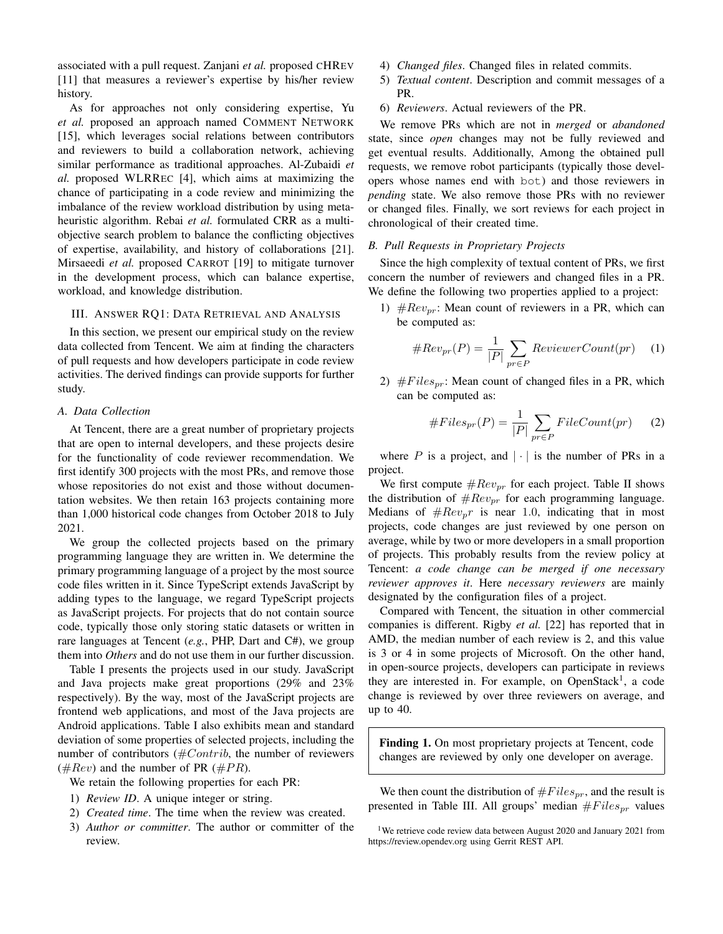associated with a pull request. Zanjani *et al.* proposed CHREV [\[11\]](#page-10-9) that measures a reviewer's expertise by his/her review history.

As for approaches not only considering expertise, Yu *et al.* proposed an approach named COMMENT NETWORK [\[15\]](#page-10-7), which leverages social relations between contributors and reviewers to build a collaboration network, achieving similar performance as traditional approaches. Al-Zubaidi *et al.* proposed WLRREC [\[4\]](#page-10-1), which aims at maximizing the chance of participating in a code review and minimizing the imbalance of the review workload distribution by using metaheuristic algorithm. Rebai *et al.* formulated CRR as a multiobjective search problem to balance the conflicting objectives of expertise, availability, and history of collaborations [\[21\]](#page-10-16). Mirsaeedi *et al.* proposed CARROT [\[19\]](#page-10-11) to mitigate turnover in the development process, which can balance expertise, workload, and knowledge distribution.

#### <span id="page-2-0"></span>III. ANSWER RQ1: DATA RETRIEVAL AND ANALYSIS

In this section, we present our empirical study on the review data collected from Tencent. We aim at finding the characters of pull requests and how developers participate in code review activities. The derived findings can provide supports for further study.

# *A. Data Collection*

At Tencent, there are a great number of proprietary projects that are open to internal developers, and these projects desire for the functionality of code reviewer recommendation. We first identify 300 projects with the most PRs, and remove those whose repositories do not exist and those without documentation websites. We then retain 163 projects containing more than 1,000 historical code changes from October 2018 to July 2021.

We group the collected projects based on the primary programming language they are written in. We determine the primary programming language of a project by the most source code files written in it. Since TypeScript extends JavaScript by adding types to the language, we regard TypeScript projects as JavaScript projects. For projects that do not contain source code, typically those only storing static datasets or written in rare languages at Tencent (*e.g.*, PHP, Dart and C#), we group them into *Others* and do not use them in our further discussion.

Table [I](#page-3-0) presents the projects used in our study. JavaScript and Java projects make great proportions (29% and 23% respectively). By the way, most of the JavaScript projects are frontend web applications, and most of the Java projects are Android applications. Table [I](#page-3-0) also exhibits mean and standard deviation of some properties of selected projects, including the number of contributors ( $#Contrib$ , the number of reviewers  $(\#Rev)$  and the number of PR  $(\# PR)$ .

We retain the following properties for each PR:

- 1) *Review ID*. A unique integer or string.
- 2) *Created time*. The time when the review was created.
- 3) *Author or committer*. The author or committer of the review.
- 4) *Changed files*. Changed files in related commits.
- 5) *Textual content*. Description and commit messages of a PR.
- 6) *Reviewers*. Actual reviewers of the PR.

We remove PRs which are not in *merged* or *abandoned* state, since *open* changes may not be fully reviewed and get eventual results. Additionally, Among the obtained pull requests, we remove robot participants (typically those developers whose names end with bot) and those reviewers in *pending* state. We also remove those PRs with no reviewer or changed files. Finally, we sort reviews for each project in chronological of their created time.

## *B. Pull Requests in Proprietary Projects*

Since the high complexity of textual content of PRs, we first concern the number of reviewers and changed files in a PR. We define the following two properties applied to a project:

1)  $\#Rev_{pr}$ : Mean count of reviewers in a PR, which can be computed as:

#Revpr(P) = <sup>1</sup> |P| X pr∈P ReviewerCount(pr) (1)

2)  $#Files_{pr}$ : Mean count of changed files in a PR, which can be computed as:

$$
\#Files_{pr}(P) = \frac{1}{|P|} \sum_{pr \in P} FileCount(pr)
$$
 (2)

where  $P$  is a project, and  $|\cdot|$  is the number of PRs in a project.

We first compute  $\#Rev_{pr}$  for each project. Table [II](#page-3-1) shows the distribution of  $\#Rev_{pr}$  for each programming language. Medians of  $\#Rev_p r$  is near 1.0, indicating that in most projects, code changes are just reviewed by one person on average, while by two or more developers in a small proportion of projects. This probably results from the review policy at Tencent: *a code change can be merged if one necessary reviewer approves it*. Here *necessary reviewers* are mainly designated by the configuration files of a project.

Compared with Tencent, the situation in other commercial companies is different. Rigby *et al.* [\[22\]](#page-10-17) has reported that in AMD, the median number of each review is 2, and this value is 3 or 4 in some projects of Microsoft. On the other hand, in open-source projects, developers can participate in reviews they are interested in. For example, on OpenStack<sup>[1](#page-2-1)</sup>, a code change is reviewed by over three reviewers on average, and up to 40.

Finding 1. On most proprietary projects at Tencent, code changes are reviewed by only one developer on average.

We then count the distribution of  $\#Files_{pr}$ , and the result is presented in Table [III.](#page-3-2) All groups' median  $\#Files_{nr}$  values

<span id="page-2-1"></span><sup>&</sup>lt;sup>1</sup>We retrieve code review data between August 2020 and January 2021 from <https://review.opendev.org> using Gerrit REST API.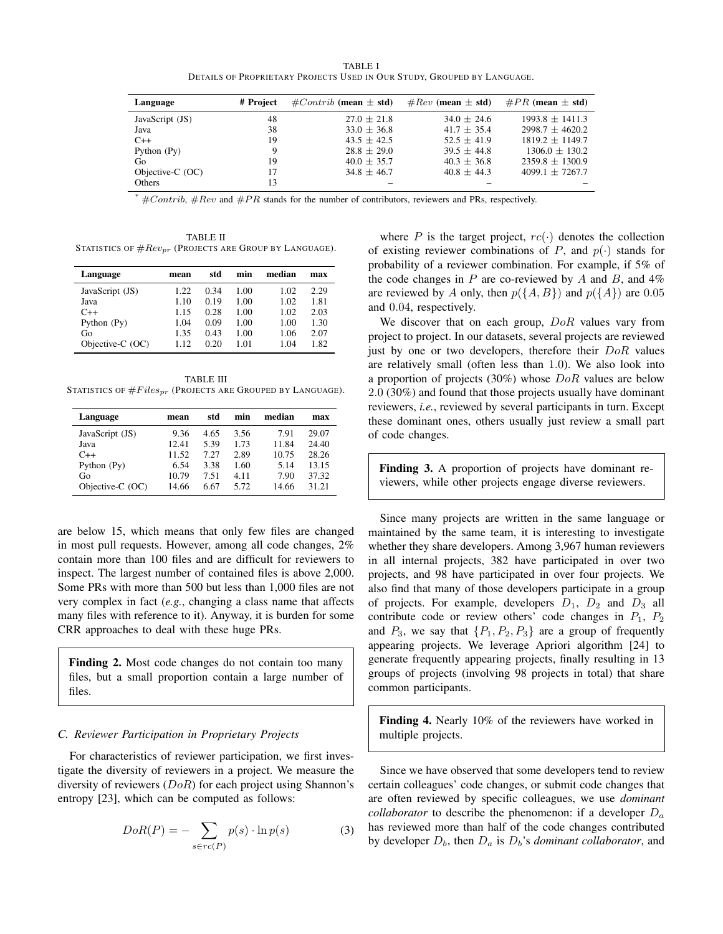TABLE I DETAILS OF PROPRIETARY PROJECTS USED IN OUR STUDY, GROUPED BY LANGUAGE.

<span id="page-3-0"></span>

| Language           | # Project | $\#Contrib$ (mean $\pm$ std) | $#Rev$ (mean $\pm$ std) | $\#PR$ (mean $\pm$ std) |
|--------------------|-----------|------------------------------|-------------------------|-------------------------|
| JavaScript (JS)    | 48        | $27.0 + 21.8$                | $34.0 + 24.6$           | $1993.8 + 1411.3$       |
| Java               | 38        | $33.0 \pm 36.8$              | $41.7 + 35.4$           | $2998.7 + 4620.2$       |
| $C++$              | 19        | $43.5 + 42.5$                | $52.5 + 41.9$           | $1819.2 + 1149.7$       |
| Python $(Py)$      |           | $28.8 + 29.0$                | $39.5 + 44.8$           | $1306.0 \pm 130.2$      |
| Go                 | 19        | $40.0 \pm 35.7$              | $40.3 + 36.8$           | $2359.8 \pm 1300.9$     |
| Objective- $C(OC)$ | 17        | $34.8 + 46.7$                | $40.8 + 44.3$           | $4099.1 + 7267.7$       |
| <b>Others</b>      | 13        |                              |                         |                         |

#Contrib, #Rev and #PR stands for the number of contributors, reviewers and PRs, respectively.

<span id="page-3-1"></span>TABLE II STATISTICS OF  $\#Rev_{pr}$  (Projects are Group by Language).

| Language         | mean | std  | min  | median | max  |
|------------------|------|------|------|--------|------|
| JavaScript (JS)  | 1.22 | 0.34 | 1.00 | 1.02   | 2.29 |
| Java             | 1.10 | 0.19 | 1.00 | 1.02   | 1.81 |
| $C++$            | 1.15 | 0.28 | 1.00 | 1.02   | 2.03 |
| Python (Py)      | 1.04 | 0.09 | 1.00 | 1.00   | 1.30 |
| Go               | 1.35 | 0.43 | 1.00 | 1.06   | 2.07 |
| Objective-C (OC) | 1.12 | 0.20 | 1.01 | 1.04   | 1.82 |

<span id="page-3-2"></span>TABLE III STATISTICS OF  $\#Files_{pr}$  (PROJECTS ARE GROUPED BY LANGUAGE).

| Language         | mean  | std  | min  | median | max   |
|------------------|-------|------|------|--------|-------|
| JavaScript (JS)  | 9.36  | 4.65 | 3.56 | 7.91   | 29.07 |
| Java             | 12.41 | 5.39 | 1.73 | 11.84  | 24.40 |
| $C++$            | 11.52 | 7.27 | 2.89 | 10.75  | 28.26 |
| Python $(Py)$    | 6.54  | 3.38 | 1.60 | 5.14   | 13.15 |
| Go               | 10.79 | 7.51 | 4.11 | 7.90   | 37.32 |
| Objective-C (OC) | 14.66 | 6.67 | 5.72 | 14.66  | 31.21 |

are below 15, which means that only few files are changed in most pull requests. However, among all code changes, 2% contain more than 100 files and are difficult for reviewers to inspect. The largest number of contained files is above 2,000. Some PRs with more than 500 but less than 1,000 files are not very complex in fact (*e.g.*, changing a class name that affects many files with reference to it). Anyway, it is burden for some CRR approaches to deal with these huge PRs.

Finding 2. Most code changes do not contain too many files, but a small proportion contain a large number of files.

### *C. Reviewer Participation in Proprietary Projects*

For characteristics of reviewer participation, we first investigate the diversity of reviewers in a project. We measure the diversity of reviewers  $(DoR)$  for each project using Shannon's entropy [\[23\]](#page-10-18), which can be computed as follows:

$$
DoR(P) = -\sum_{s \in rc(P)} p(s) \cdot \ln p(s)
$$
 (3)

where P is the target project,  $rc(\cdot)$  denotes the collection of existing reviewer combinations of P, and  $p(\cdot)$  stands for probability of a reviewer combination. For example, if 5% of the code changes in  $P$  are co-reviewed by  $A$  and  $B$ , and  $4\%$ are reviewed by A only, then  $p({A, B})$  and  $p({A})$  are 0.05 and 0.04, respectively.

We discover that on each group,  $DoR$  values vary from project to project. In our datasets, several projects are reviewed just by one or two developers, therefore their  $DoR$  values are relatively small (often less than 1.0). We also look into a proportion of projects (30%) whose  $DoR$  values are below 2.0 (30%) and found that those projects usually have dominant reviewers, *i.e.*, reviewed by several participants in turn. Except these dominant ones, others usually just review a small part of code changes.

Finding 3. A proportion of projects have dominant reviewers, while other projects engage diverse reviewers.

Since many projects are written in the same language or maintained by the same team, it is interesting to investigate whether they share developers. Among 3,967 human reviewers in all internal projects, 382 have participated in over two projects, and 98 have participated in over four projects. We also find that many of those developers participate in a group of projects. For example, developers  $D_1$ ,  $D_2$  and  $D_3$  all contribute code or review others' code changes in  $P_1$ ,  $P_2$ and  $P_3$ , we say that  $\{P_1, P_2, P_3\}$  are a group of frequently appearing projects. We leverage Apriori algorithm [\[24\]](#page-10-19) to generate frequently appearing projects, finally resulting in 13 groups of projects (involving 98 projects in total) that share common participants.

Finding 4. Nearly 10% of the reviewers have worked in multiple projects.

Since we have observed that some developers tend to review certain colleagues' code changes, or submit code changes that are often reviewed by specific colleagues, we use *dominant collaborator* to describe the phenomenon: if a developer  $D_a$ has reviewed more than half of the code changes contributed by developer  $D_b$ , then  $D_a$  is  $D_b$ 's *dominant collaborator*, and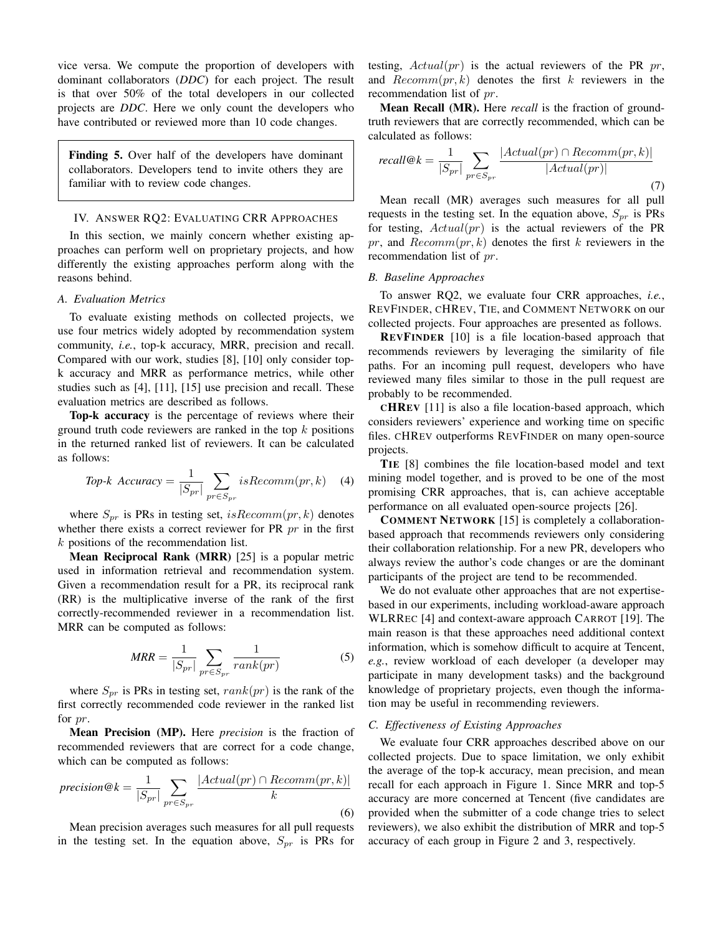vice versa. We compute the proportion of developers with dominant collaborators (*DDC*) for each project. The result is that over 50% of the total developers in our collected projects are *DDC*. Here we only count the developers who have contributed or reviewed more than 10 code changes.

Finding 5. Over half of the developers have dominant collaborators. Developers tend to invite others they are familiar with to review code changes.

# <span id="page-4-0"></span>IV. ANSWER RQ2: EVALUATING CRR APPROACHES

In this section, we mainly concern whether existing approaches can perform well on proprietary projects, and how differently the existing approaches perform along with the reasons behind.

## *A. Evaluation Metrics*

To evaluate existing methods on collected projects, we use four metrics widely adopted by recommendation system community, *i.e.*, top-k accuracy, MRR, precision and recall. Compared with our work, studies [\[8\]](#page-10-5), [\[10\]](#page-10-13) only consider topk accuracy and MRR as performance metrics, while other studies such as [\[4\]](#page-10-1), [\[11\]](#page-10-9), [\[15\]](#page-10-7) use precision and recall. These evaluation metrics are described as follows.

Top-k accuracy is the percentage of reviews where their ground truth code reviewers are ranked in the top  $k$  positions in the returned ranked list of reviewers. It can be calculated as follows:

$$
Top-k \ Accuracy = \frac{1}{|S_{pr}|} \sum_{pr \in S_{pr}} isRecommend(pr, k) \quad (4)
$$

where  $S_{pr}$  is PRs in testing set,  $isRecommend(pr, k)$  denotes whether there exists a correct reviewer for PR  $pr$  in the first  $k$  positions of the recommendation list.

Mean Reciprocal Rank (MRR) [\[25\]](#page-10-20) is a popular metric used in information retrieval and recommendation system. Given a recommendation result for a PR, its reciprocal rank (RR) is the multiplicative inverse of the rank of the first correctly-recommended reviewer in a recommendation list. MRR can be computed as follows:

$$
MRR = \frac{1}{|S_{pr}|} \sum_{pr \in S_{pr}} \frac{1}{rank(pr)} \tag{5}
$$

where  $S_{pr}$  is PRs in testing set,  $rank(pr)$  is the rank of the first correctly recommended code reviewer in the ranked list for  $pr$ .

Mean Precision (MP). Here *precision* is the fraction of recommended reviewers that are correct for a code change, which can be computed as follows:

$$
precision@k = \frac{1}{|S_{pr}|} \sum_{pr \in S_{pr}} \frac{|Actual(pr) \cap Recomm(pr, k)|}{k}
$$
\n(6)

Mean precision averages such measures for all pull requests in the testing set. In the equation above,  $S_{pr}$  is PRs for testing,  $Actual(pr)$  is the actual reviewers of the PR pr, and  $Recomm(pr, k)$  denotes the first k reviewers in the recommendation list of pr.

Mean Recall (MR). Here *recall* is the fraction of groundtruth reviewers that are correctly recommended, which can be calculated as follows:

$$
recall@k = \frac{1}{|S_{pr}|} \sum_{pr \in S_{pr}} \frac{|Actual(pr) \cap Recomm(pr, k)|}{|Actual(pr)|}
$$
\n
$$
(7)
$$

Mean recall (MR) averages such measures for all pull requests in the testing set. In the equation above,  $S_{pr}$  is PRs for testing,  $Actual(pr)$  is the actual reviewers of the PR pr, and  $Recomm(pr, k)$  denotes the first k reviewers in the recommendation list of pr.

## <span id="page-4-1"></span>*B. Baseline Approaches*

To answer RQ2, we evaluate four CRR approaches, *i.e.*, REVFINDER, CHREV, TIE, and COMMENT NETWORK on our collected projects. Four approaches are presented as follows.

REVFINDER [\[10\]](#page-10-13) is a file location-based approach that recommends reviewers by leveraging the similarity of file paths. For an incoming pull request, developers who have reviewed many files similar to those in the pull request are probably to be recommended.

CHREV [\[11\]](#page-10-9) is also a file location-based approach, which considers reviewers' experience and working time on specific files. CHREV outperforms REVFINDER on many open-source projects.

TIE [\[8\]](#page-10-5) combines the file location-based model and text mining model together, and is proved to be one of the most promising CRR approaches, that is, can achieve acceptable performance on all evaluated open-source projects [\[26\]](#page-10-21).

COMMENT NETWORK [\[15\]](#page-10-7) is completely a collaborationbased approach that recommends reviewers only considering their collaboration relationship. For a new PR, developers who always review the author's code changes or are the dominant participants of the project are tend to be recommended.

We do not evaluate other approaches that are not expertisebased in our experiments, including workload-aware approach WLRREC [\[4\]](#page-10-1) and context-aware approach CARROT [\[19\]](#page-10-11). The main reason is that these approaches need additional context information, which is somehow difficult to acquire at Tencent, *e.g.*, review workload of each developer (a developer may participate in many development tasks) and the background knowledge of proprietary projects, even though the information may be useful in recommending reviewers.

#### *C. Effectiveness of Existing Approaches*

We evaluate four CRR approaches described above on our collected projects. Due to space limitation, we only exhibit the average of the top-k accuracy, mean precision, and mean recall for each approach in Figure [1.](#page-5-0) Since MRR and top-5 accuracy are more concerned at Tencent (five candidates are provided when the submitter of a code change tries to select reviewers), we also exhibit the distribution of MRR and top-5 accuracy of each group in Figure [2](#page-5-1) and [3,](#page-5-2) respectively.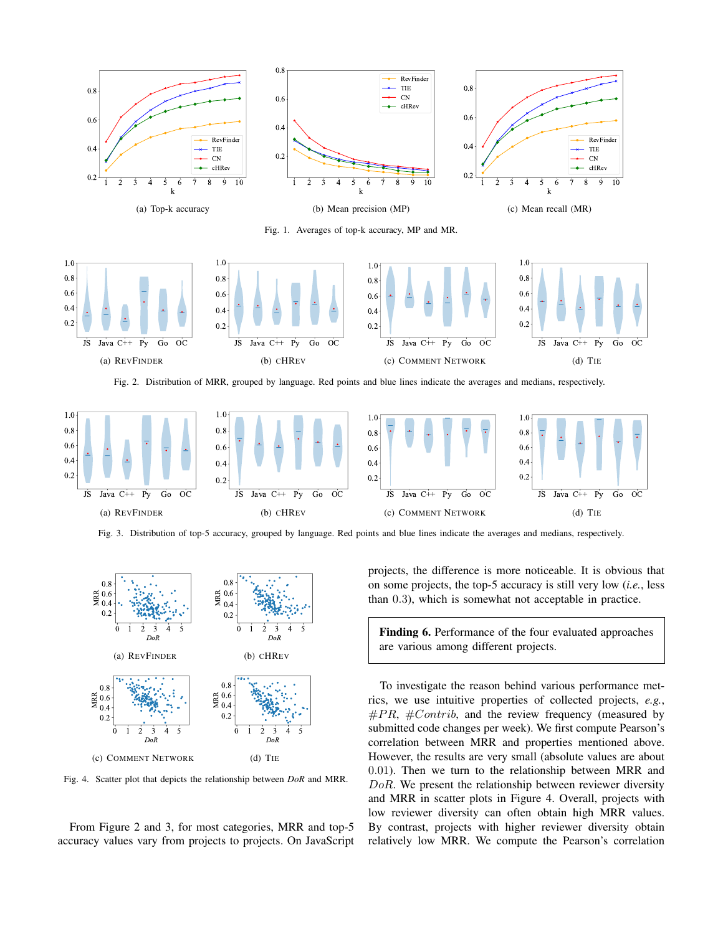

Fig. 1. Averages of top-k accuracy, MP and MR.

<span id="page-5-0"></span>

Fig. 2. Distribution of MRR, grouped by language. Red points and blue lines indicate the averages and medians, respectively.



Fig. 3. Distribution of top-5 accuracy, grouped by language. Red points and blue lines indicate the averages and medians, respectively.



Fig. 4. Scatter plot that depicts the relationship between *DoR* and MRR.

From Figure [2](#page-5-1) and [3,](#page-5-2) for most categories, MRR and top-5 accuracy values vary from projects to projects. On JavaScript <span id="page-5-2"></span><span id="page-5-1"></span>projects, the difference is more noticeable. It is obvious that on some projects, the top-5 accuracy is still very low (*i.e.*, less than 0.3), which is somewhat not acceptable in practice.

Finding 6. Performance of the four evaluated approaches are various among different projects.

<span id="page-5-3"></span>To investigate the reason behind various performance metrics, we use intuitive properties of collected projects, *e.g.*,  $\#PR$ ,  $\#Contrib$ , and the review frequency (measured by submitted code changes per week). We first compute Pearson's correlation between MRR and properties mentioned above. However, the results are very small (absolute values are about 0.01). Then we turn to the relationship between MRR and DoR. We present the relationship between reviewer diversity and MRR in scatter plots in Figure [4.](#page-5-3) Overall, projects with low reviewer diversity can often obtain high MRR values. By contrast, projects with higher reviewer diversity obtain relatively low MRR. We compute the Pearson's correlation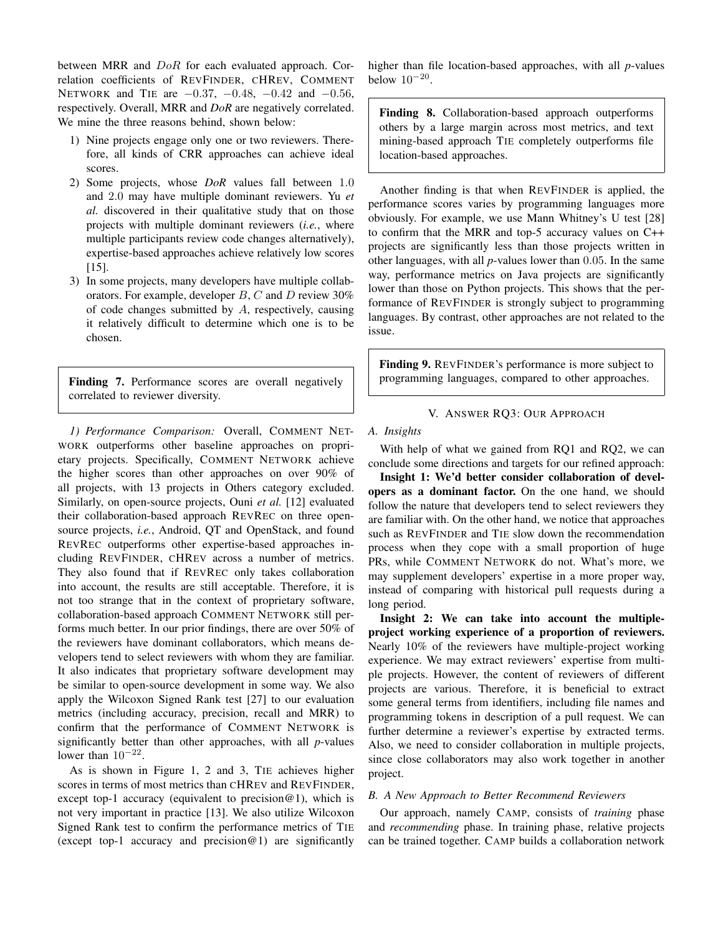between MRR and  $DoR$  for each evaluated approach. Correlation coefficients of REVFINDER, CHREV, COMMENT NETWORK and TIE are  $-0.37, -0.48, -0.42$  and  $-0.56,$ respectively. Overall, MRR and *DoR* are negatively correlated. We mine the three reasons behind, shown below:

- 1) Nine projects engage only one or two reviewers. Therefore, all kinds of CRR approaches can achieve ideal scores.
- 2) Some projects, whose *DoR* values fall between 1.0 and 2.0 may have multiple dominant reviewers. Yu *et al.* discovered in their qualitative study that on those projects with multiple dominant reviewers (*i.e.*, where multiple participants review code changes alternatively), expertise-based approaches achieve relatively low scores [\[15\]](#page-10-7).
- 3) In some projects, many developers have multiple collaborators. For example, developer  $B, C$  and  $D$  review 30% of code changes submitted by A, respectively, causing it relatively difficult to determine which one is to be chosen.

Finding 7. Performance scores are overall negatively correlated to reviewer diversity.

*1) Performance Comparison:* Overall, COMMENT NET-WORK outperforms other baseline approaches on proprietary projects. Specifically, COMMENT NETWORK achieve the higher scores than other approaches on over 90% of all projects, with 13 projects in Others category excluded. Similarly, on open-source projects, Ouni *et al.* [\[12\]](#page-10-14) evaluated their collaboration-based approach REVREC on three opensource projects, *i.e.*, Android, QT and OpenStack, and found REVREC outperforms other expertise-based approaches including REVFINDER, CHREV across a number of metrics. They also found that if REVREC only takes collaboration into account, the results are still acceptable. Therefore, it is not too strange that in the context of proprietary software, collaboration-based approach COMMENT NETWORK still performs much better. In our prior findings, there are over 50% of the reviewers have dominant collaborators, which means developers tend to select reviewers with whom they are familiar. It also indicates that proprietary software development may be similar to open-source development in some way. We also apply the Wilcoxon Signed Rank test [\[27\]](#page-10-22) to our evaluation metrics (including accuracy, precision, recall and MRR) to confirm that the performance of COMMENT NETWORK is significantly better than other approaches, with all *p*-values lower than  $10^{-22}$ .

As is shown in Figure [1,](#page-5-0) [2](#page-5-1) and [3,](#page-5-2) TIE achieves higher scores in terms of most metrics than CHREV and REVFINDER, except top-1 accuracy (equivalent to precision $@1$ ), which is not very important in practice [\[13\]](#page-10-15). We also utilize Wilcoxon Signed Rank test to confirm the performance metrics of TIE (except top-1 accuracy and precision@1) are significantly higher than file location-based approaches, with all *p*-values below  $10^{-20}$ .

Finding 8. Collaboration-based approach outperforms others by a large margin across most metrics, and text mining-based approach TIE completely outperforms file location-based approaches.

Another finding is that when REVFINDER is applied, the performance scores varies by programming languages more obviously. For example, we use Mann Whitney's U test [\[28\]](#page-10-23) to confirm that the MRR and top-5 accuracy values on C++ projects are significantly less than those projects written in other languages, with all *p*-values lower than 0.05. In the same way, performance metrics on Java projects are significantly lower than those on Python projects. This shows that the performance of REVFINDER is strongly subject to programming languages. By contrast, other approaches are not related to the issue.

Finding 9. REVFINDER's performance is more subject to programming languages, compared to other approaches.

V. ANSWER RQ3: OUR APPROACH

# <span id="page-6-0"></span>*A. Insights*

With help of what we gained from RQ1 and RQ2, we can conclude some directions and targets for our refined approach:

Insight 1: We'd better consider collaboration of developers as a dominant factor. On the one hand, we should follow the nature that developers tend to select reviewers they are familiar with. On the other hand, we notice that approaches such as REVFINDER and TIE slow down the recommendation process when they cope with a small proportion of huge PRs, while COMMENT NETWORK do not. What's more, we may supplement developers' expertise in a more proper way, instead of comparing with historical pull requests during a long period.

Insight 2: We can take into account the multipleproject working experience of a proportion of reviewers. Nearly 10% of the reviewers have multiple-project working experience. We may extract reviewers' expertise from multiple projects. However, the content of reviewers of different projects are various. Therefore, it is beneficial to extract some general terms from identifiers, including file names and programming tokens in description of a pull request. We can further determine a reviewer's expertise by extracted terms. Also, we need to consider collaboration in multiple projects, since close collaborators may also work together in another project.

# *B. A New Approach to Better Recommend Reviewers*

Our approach, namely CAMP, consists of *training* phase and *recommending* phase. In training phase, relative projects can be trained together. CAMP builds a collaboration network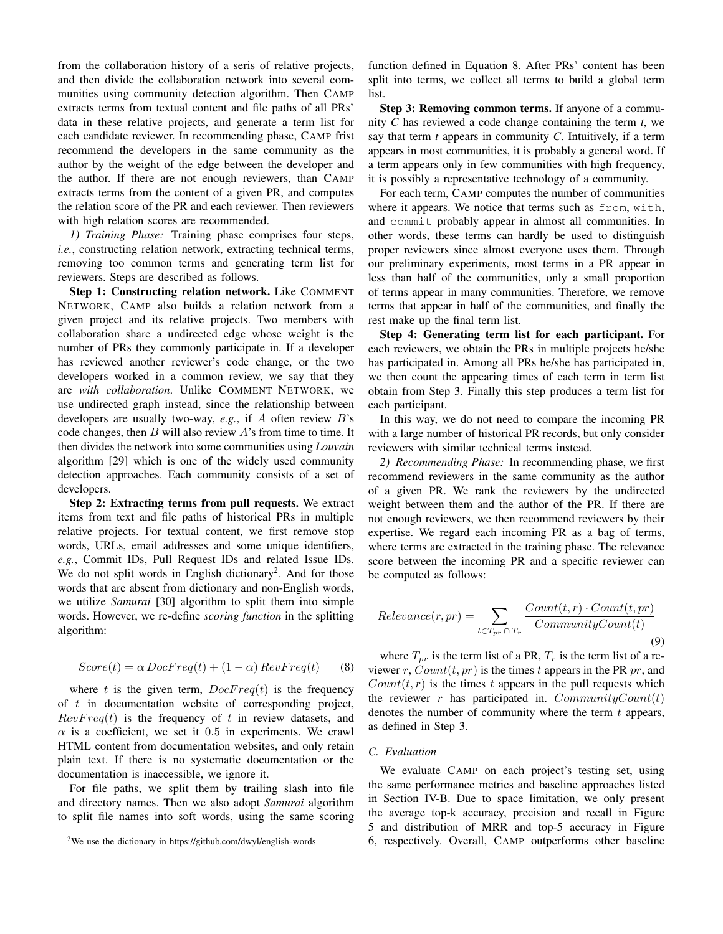from the collaboration history of a seris of relative projects, and then divide the collaboration network into several communities using community detection algorithm. Then CAMP extracts terms from textual content and file paths of all PRs' data in these relative projects, and generate a term list for each candidate reviewer. In recommending phase, CAMP frist recommend the developers in the same community as the author by the weight of the edge between the developer and the author. If there are not enough reviewers, than CAMP extracts terms from the content of a given PR, and computes the relation score of the PR and each reviewer. Then reviewers with high relation scores are recommended.

*1) Training Phase:* Training phase comprises four steps, *i.e.*, constructing relation network, extracting technical terms, removing too common terms and generating term list for reviewers. Steps are described as follows.

Step 1: Constructing relation network. Like COMMENT NETWORK, CAMP also builds a relation network from a given project and its relative projects. Two members with collaboration share a undirected edge whose weight is the number of PRs they commonly participate in. If a developer has reviewed another reviewer's code change, or the two developers worked in a common review, we say that they are *with collaboration*. Unlike COMMENT NETWORK, we use undirected graph instead, since the relationship between developers are usually two-way, *e.g.*, if A often review B's code changes, then  $B$  will also review  $A$ 's from time to time. It then divides the network into some communities using *Louvain* algorithm [\[29\]](#page-10-24) which is one of the widely used community detection approaches. Each community consists of a set of developers.

Step 2: Extracting terms from pull requests. We extract items from text and file paths of historical PRs in multiple relative projects. For textual content, we first remove stop words, URLs, email addresses and some unique identifiers, *e.g.*, Commit IDs, Pull Request IDs and related Issue IDs. We do not split words in English dictionary<sup>[2](#page-7-0)</sup>. And for those words that are absent from dictionary and non-English words, we utilize *Samurai* [\[30\]](#page-10-25) algorithm to split them into simple words. However, we re-define *scoring function* in the splitting algorithm:

<span id="page-7-1"></span>
$$
Score(t) = \alpha \, DocFreq(t) + (1 - \alpha) \, RevFreq(t) \qquad (8)
$$

where t is the given term,  $DocFreq(t)$  is the frequency of  $t$  in documentation website of corresponding project,  $RevFreq(t)$  is the frequency of t in review datasets, and  $\alpha$  is a coefficient, we set it 0.5 in experiments. We crawl HTML content from documentation websites, and only retain plain text. If there is no systematic documentation or the documentation is inaccessible, we ignore it.

For file paths, we split them by trailing slash into file and directory names. Then we also adopt *Samurai* algorithm to split file names into soft words, using the same scoring function defined in Equation [8.](#page-7-1) After PRs' content has been split into terms, we collect all terms to build a global term list.

Step 3: Removing common terms. If anyone of a community *C* has reviewed a code change containing the term *t*, we say that term *t* appears in community *C*. Intuitively, if a term appears in most communities, it is probably a general word. If a term appears only in few communities with high frequency, it is possibly a representative technology of a community.

For each term, CAMP computes the number of communities where it appears. We notice that terms such as from, with, and commit probably appear in almost all communities. In other words, these terms can hardly be used to distinguish proper reviewers since almost everyone uses them. Through our preliminary experiments, most terms in a PR appear in less than half of the communities, only a small proportion of terms appear in many communities. Therefore, we remove terms that appear in half of the communities, and finally the rest make up the final term list.

Step 4: Generating term list for each participant. For each reviewers, we obtain the PRs in multiple projects he/she has participated in. Among all PRs he/she has participated in, we then count the appearing times of each term in term list obtain from Step 3. Finally this step produces a term list for each participant.

In this way, we do not need to compare the incoming PR with a large number of historical PR records, but only consider reviewers with similar technical terms instead.

*2) Recommending Phase:* In recommending phase, we first recommend reviewers in the same community as the author of a given PR. We rank the reviewers by the undirected weight between them and the author of the PR. If there are not enough reviewers, we then recommend reviewers by their expertise. We regard each incoming PR as a bag of terms, where terms are extracted in the training phase. The relevance score between the incoming PR and a specific reviewer can be computed as follows:

$$
Relevance(r, pr) = \sum_{t \in T_{pr} \cap T_r} \frac{Count(t, r) \cdot Count(t, pr)}{CommutyCount(t)}
$$
\n(9)

where  $T_{pr}$  is the term list of a PR,  $T_r$  is the term list of a reviewer r,  $Count(t, pr)$  is the times t appears in the PR pr, and  $Count(t, r)$  is the times t appears in the pull requests which the reviewer r has participated in.  $CommutyCount(t)$ denotes the number of community where the term  $t$  appears, as defined in Step 3.

#### *C. Evaluation*

We evaluate CAMP on each project's testing set, using the same performance metrics and baseline approaches listed in Section [IV-B.](#page-4-1) Due to space limitation, we only present the average top-k accuracy, precision and recall in Figure [5](#page-9-4) and distribution of MRR and top-5 accuracy in Figure [6,](#page-9-5) respectively. Overall, CAMP outperforms other baseline

<span id="page-7-0"></span><sup>&</sup>lt;sup>2</sup>We use the dictionary in<https://github.com/dwyl/english-words>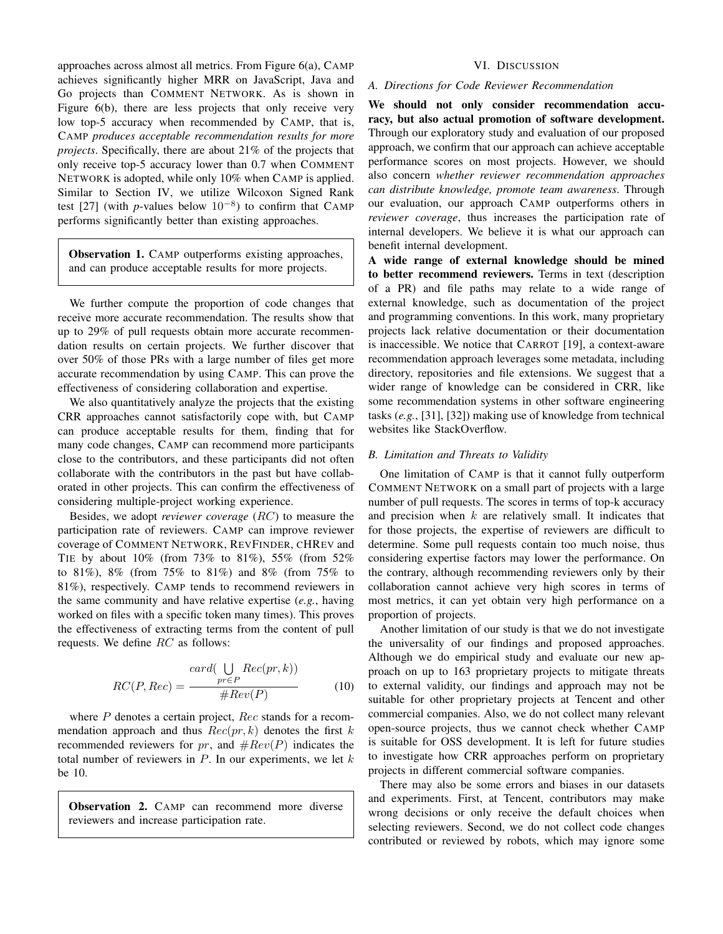approaches across almost all metrics. From Figure [6\(a\),](#page-9-6) CAMP achieves significantly higher MRR on JavaScript, Java and Go projects than COMMENT NETWORK. As is shown in Figure [6\(b\),](#page-9-7) there are less projects that only receive very low top-5 accuracy when recommended by CAMP, that is, CAMP *produces acceptable recommendation results for more projects*. Specifically, there are about 21% of the projects that only receive top-5 accuracy lower than 0.7 when COMMENT NETWORK is adopted, while only 10% when CAMP is applied. Similar to Section [IV,](#page-4-0) we utilize Wilcoxon Signed Rank test [\[27\]](#page-10-22) (with *p*-values below  $10^{-8}$ ) to confirm that CAMP performs significantly better than existing approaches.

Observation 1. CAMP outperforms existing approaches, and can produce acceptable results for more projects.

We further compute the proportion of code changes that receive more accurate recommendation. The results show that up to 29% of pull requests obtain more accurate recommendation results on certain projects. We further discover that over 50% of those PRs with a large number of files get more accurate recommendation by using CAMP. This can prove the effectiveness of considering collaboration and expertise.

We also quantitatively analyze the projects that the existing CRR approaches cannot satisfactorily cope with, but CAMP can produce acceptable results for them, finding that for many code changes, CAMP can recommend more participants close to the contributors, and these participants did not often collaborate with the contributors in the past but have collaborated in other projects. This can confirm the effectiveness of considering multiple-project working experience.

Besides, we adopt *reviewer coverage* (RC) to measure the participation rate of reviewers. CAMP can improve reviewer coverage of COMMENT NETWORK, REVFINDER, CHREV and TIE by about 10% (from 73% to 81%), 55% (from 52% to 81%), 8% (from 75% to 81%) and 8% (from 75% to 81%), respectively. CAMP tends to recommend reviewers in the same community and have relative expertise (*e.g.*, having worked on files with a specific token many times). This proves the effectiveness of extracting terms from the content of pull requests. We define RC as follows:

$$
RC(P, Rec) = \frac{card(\bigcup_{pr \in P} Rec(pr, k))}{\# Rev(P)}
$$
(10)

where  $P$  denotes a certain project,  $Rec$  stands for a recommendation approach and thus  $Rec(pr, k)$  denotes the first k recommended reviewers for pr, and  $#Rev(P)$  indicates the total number of reviewers in  $P$ . In our experiments, we let  $k$ be 10.

Observation 2. CAMP can recommend more diverse reviewers and increase participation rate.

# VI. DISCUSSION

## <span id="page-8-0"></span>*A. Directions for Code Reviewer Recommendation*

We should not only consider recommendation accuracy, but also actual promotion of software development. Through our exploratory study and evaluation of our proposed approach, we confirm that our approach can achieve acceptable performance scores on most projects. However, we should also concern *whether reviewer recommendation approaches can distribute knowledge, promote team awareness*. Through our evaluation, our approach CAMP outperforms others in *reviewer coverage*, thus increases the participation rate of internal developers. We believe it is what our approach can benefit internal development.

A wide range of external knowledge should be mined to better recommend reviewers. Terms in text (description of a PR) and file paths may relate to a wide range of external knowledge, such as documentation of the project and programming conventions. In this work, many proprietary projects lack relative documentation or their documentation is inaccessible. We notice that CARROT [\[19\]](#page-10-11), a context-aware recommendation approach leverages some metadata, including directory, repositories and file extensions. We suggest that a wider range of knowledge can be considered in CRR, like some recommendation systems in other software engineering tasks (*e.g.*, [\[31\]](#page-10-26), [\[32\]](#page-10-27)) making use of knowledge from technical websites like StackOverflow.

## *B. Limitation and Threats to Validity*

One limitation of CAMP is that it cannot fully outperform COMMENT NETWORK on a small part of projects with a large number of pull requests. The scores in terms of top-k accuracy and precision when  $k$  are relatively small. It indicates that for those projects, the expertise of reviewers are difficult to determine. Some pull requests contain too much noise, thus considering expertise factors may lower the performance. On the contrary, although recommending reviewers only by their collaboration cannot achieve very high scores in terms of most metrics, it can yet obtain very high performance on a proportion of projects.

Another limitation of our study is that we do not investigate the universality of our findings and proposed approaches. Although we do empirical study and evaluate our new approach on up to 163 proprietary projects to mitigate threats to external validity, our findings and approach may not be suitable for other proprietary projects at Tencent and other commercial companies. Also, we do not collect many relevant open-source projects, thus we cannot check whether CAMP is suitable for OSS development. It is left for future studies to investigate how CRR approaches perform on proprietary projects in different commercial software companies.

There may also be some errors and biases in our datasets and experiments. First, at Tencent, contributors may make wrong decisions or only receive the default choices when selecting reviewers. Second, we do not collect code changes contributed or reviewed by robots, which may ignore some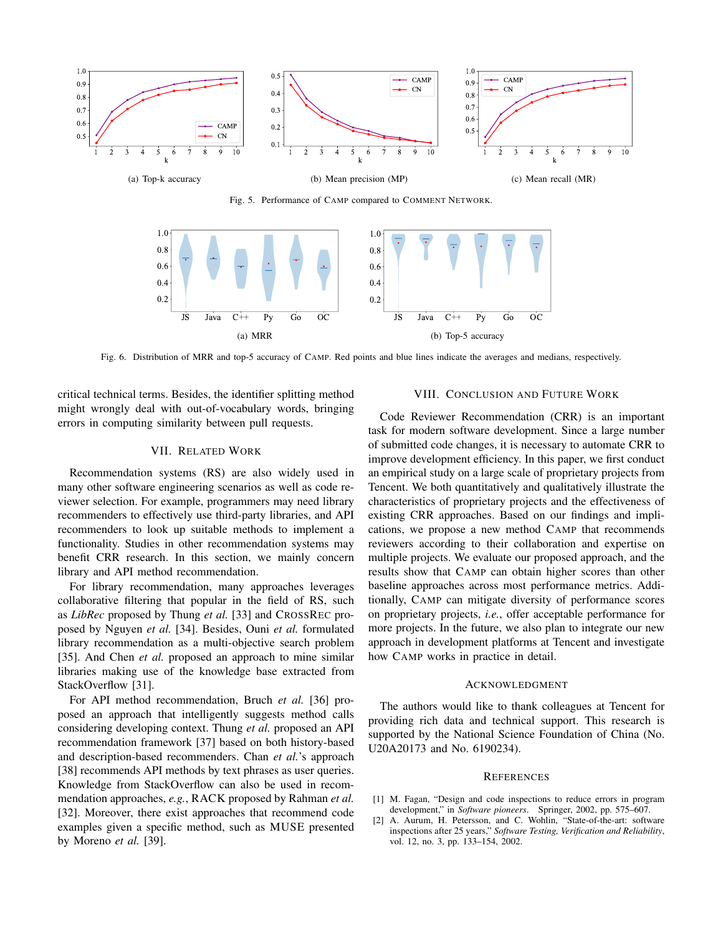

Fig. 5. Performance of CAMP compared to COMMENT NETWORK.

<span id="page-9-6"></span>

Fig. 6. Distribution of MRR and top-5 accuracy of CAMP. Red points and blue lines indicate the averages and medians, respectively.

<span id="page-9-5"></span>critical technical terms. Besides, the identifier splitting method might wrongly deal with out-of-vocabulary words, bringing errors in computing similarity between pull requests.

#### VII. RELATED WORK

<span id="page-9-2"></span>Recommendation systems (RS) are also widely used in many other software engineering scenarios as well as code reviewer selection. For example, programmers may need library recommenders to effectively use third-party libraries, and API recommenders to look up suitable methods to implement a functionality. Studies in other recommendation systems may benefit CRR research. In this section, we mainly concern library and API method recommendation.

For library recommendation, many approaches leverages collaborative filtering that popular in the field of RS, such as *LibRec* proposed by Thung *et al.* [\[33\]](#page-10-28) and CROSSREC proposed by Nguyen *et al.* [\[34\]](#page-10-29). Besides, Ouni *et al.* formulated library recommendation as a multi-objective search problem [\[35\]](#page-10-30). And Chen *et al.* proposed an approach to mine similar libraries making use of the knowledge base extracted from StackOverflow [\[31\]](#page-10-26).

For API method recommendation, Bruch *et al.* [\[36\]](#page-10-31) proposed an approach that intelligently suggests method calls considering developing context. Thung *et al.* proposed an API recommendation framework [\[37\]](#page-10-32) based on both history-based and description-based recommenders. Chan *et al.*'s approach [\[38\]](#page-10-33) recommends API methods by text phrases as user queries. Knowledge from StackOverflow can also be used in recommendation approaches, *e.g.*, RACK proposed by Rahman *et al.* [\[32\]](#page-10-27). Moreover, there exist approaches that recommend code examples given a specific method, such as MUSE presented by Moreno *et al.* [\[39\]](#page-10-34).

#### <span id="page-9-7"></span><span id="page-9-4"></span>VIII. CONCLUSION AND FUTURE WORK

<span id="page-9-3"></span>Code Reviewer Recommendation (CRR) is an important task for modern software development. Since a large number of submitted code changes, it is necessary to automate CRR to improve development efficiency. In this paper, we first conduct an empirical study on a large scale of proprietary projects from Tencent. We both quantitatively and qualitatively illustrate the characteristics of proprietary projects and the effectiveness of existing CRR approaches. Based on our findings and implications, we propose a new method CAMP that recommends reviewers according to their collaboration and expertise on multiple projects. We evaluate our proposed approach, and the results show that CAMP can obtain higher scores than other baseline approaches across most performance metrics. Additionally, CAMP can mitigate diversity of performance scores on proprietary projects, *i.e.*, offer acceptable performance for more projects. In the future, we also plan to integrate our new approach in development platforms at Tencent and investigate how CAMP works in practice in detail.

#### ACKNOWLEDGMENT

The authors would like to thank colleagues at Tencent for providing rich data and technical support. This research is supported by the National Science Foundation of China (No. U20A20173 and No. 6190234).

#### **REFERENCES**

- <span id="page-9-0"></span>[1] M. Fagan, "Design and code inspections to reduce errors in program development," in *Software pioneers*. Springer, 2002, pp. 575–607.
- <span id="page-9-1"></span>[2] A. Aurum, H. Petersson, and C. Wohlin, "State-of-the-art: software inspections after 25 years," *Software Testing, Verification and Reliability*, vol. 12, no. 3, pp. 133–154, 2002.